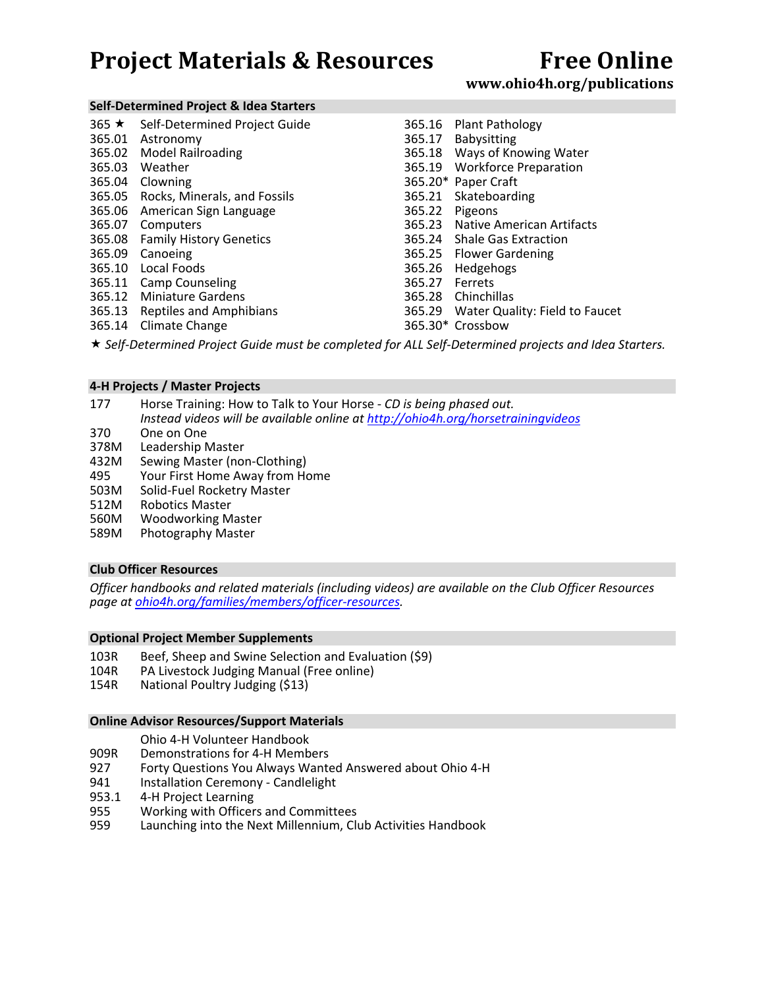## **www.ohio4h.org/publications**

#### **Self‐Determined Project & Idea Starters**

| $365 \star$ | Self-Determined Project Guide       | 365.16 | Plant Pathology                  |
|-------------|-------------------------------------|--------|----------------------------------|
| 365.01      | Astronomy                           | 365.17 | <b>Babysitting</b>               |
| 365.02      | <b>Model Railroading</b>            | 365.18 | Ways of Knowing Water            |
| 365.03      | Weather                             |        | 365.19 Workforce Preparation     |
| 365.04      | Clowning                            |        | 365.20* Paper Craft              |
|             | 365.05 Rocks, Minerals, and Fossils | 365.21 | Skateboarding                    |
|             | 365.06 American Sign Language       | 365.22 | Pigeons                          |
| 365.07      | Computers                           |        | 365.23 Native American Artifacts |
|             | 365.08 Family History Genetics      |        | 365.24 Shale Gas Extraction      |
| 365.09      | Canoeing                            |        | 365.25 Flower Gardening          |
| 365.10      | Local Foods                         | 365.26 | Hedgehogs                        |
| 365.11      | <b>Camp Counseling</b>              | 365.27 | Ferrets                          |
| 365.12      | <b>Miniature Gardens</b>            | 365.28 | Chinchillas                      |
| 365.13      | Reptiles and Amphibians             | 365.29 | Water Quality: Field to Faucet   |
| 365.14      | Climate Change                      |        | 365.30* Crossbow                 |

*Self‐Determined Project Guide must be completed for ALL Self‐Determined projects and Idea Starters.*

#### **4‐H Projects / Master Projects**

- 177 Horse Training: How to Talk to Your Horse ‐ *CD is being phased out. Instead videos will be available online at http://ohio4h.org/horsetrainingvideos*
- 370 One on One
- 378M Leadership Master
- 432M Sewing Master (non‐Clothing)
- 495 Your First Home Away from Home
- 503M Solid‐Fuel Rocketry Master
- 512M Robotics Master
- 560M Woodworking Master
- 589M Photography Master

#### **Club Officer Resources**

*Officer handbooks and related materials (including videos) are available on the Club Officer Resources page at ohio4h.org/families/members/officer‐resources.* 

#### **Optional Project Member Supplements**

- 103R Beef, Sheep and Swine Selection and Evaluation (\$9)<br>104R PA Livestock Judging Manual (Free online)
- PA Livestock Judging Manual (Free online)
- 154R National Poultry Judging (\$13)

#### **Online Advisor Resources/Support Materials**

#### Ohio 4‐H Volunteer Handbook

- 909R Demonstrations for 4‐H Members
- 927 Forty Questions You Always Wanted Answered about Ohio 4-H<br>941 Installation Ceremony Candlelight
- Installation Ceremony Candlelight
- 953.1 4-H Project Learning
- 955 Working with Officers and Committees<br>959 Launching into the Next Millennium, Cli
- Launching into the Next Millennium, Club Activities Handbook